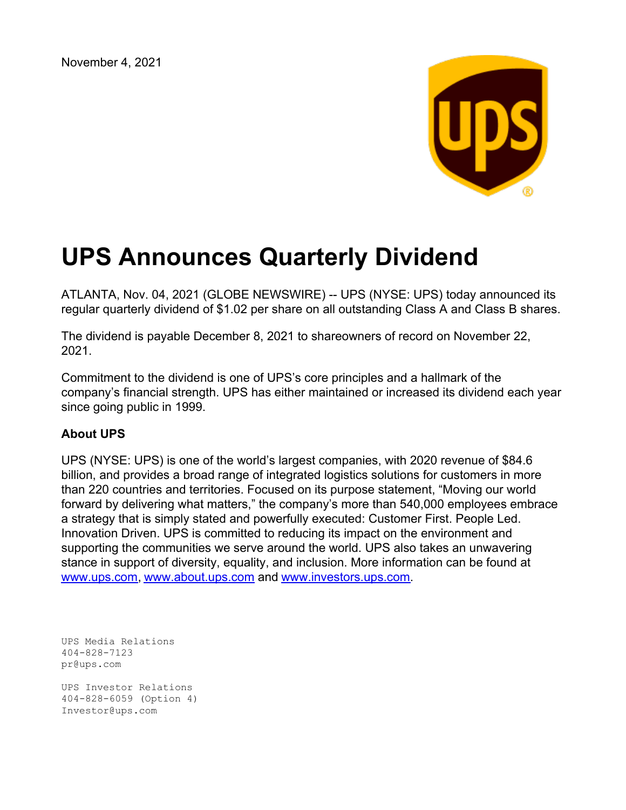November 4, 2021



## **UPS Announces Quarterly Dividend**

ATLANTA, Nov. 04, 2021 (GLOBE NEWSWIRE) -- UPS (NYSE: UPS) today announced its regular quarterly dividend of \$1.02 per share on all outstanding Class A and Class B shares.

The dividend is payable December 8, 2021 to shareowners of record on November 22, 2021.

Commitment to the dividend is one of UPS's core principles and a hallmark of the company's financial strength. UPS has either maintained or increased its dividend each year since going public in 1999.

## **About UPS**

UPS (NYSE: UPS) is one of the world's largest companies, with 2020 revenue of \$84.6 billion, and provides a broad range of integrated logistics solutions for customers in more than 220 countries and territories. Focused on its purpose statement, "Moving our world forward by delivering what matters," the company's more than 540,000 employees embrace a strategy that is simply stated and powerfully executed: Customer First. People Led. Innovation Driven. UPS is committed to reducing its impact on the environment and supporting the communities we serve around the world. UPS also takes an unwavering stance in support of diversity, equality, and inclusion. More information can be found at [www.ups.com](https://www.globenewswire.com/Tracker?data=4uxqkZNGd31eTsseQmpSHnN7CN0_7CMw_sd5lZ6yyumXlj864_PYNpC5ohf7105SOncT-a0SsWCJVou_br5UOA==), [www.about.ups.com](https://www.globenewswire.com/Tracker?data=UjolvFie2xCtZlnCCkhp21YeQSVTtEqVgWG3U4ng9FPldRh-BYattPG9I8HhkFFd4qZq_suTiS-eaK01i6UW8mzuZhzDb4L7ulAtqGtCGTY=) and [www.investors.ups.com](https://www.globenewswire.com/Tracker?data=e6YTByiwrhm0h-ugL8hMULxRkEqcm_r5kQFvIRFEOExJ9lrX-31XOBHSoI3V6om9P7Fax7CFhEPX6kIu_3lx0s67bcNtTM1z6bfUcCTMomE=).

UPS Media Relations 404-828-7123 pr@ups.com UPS Investor Relations 404-828-6059 (Option 4) Investor@ups.com